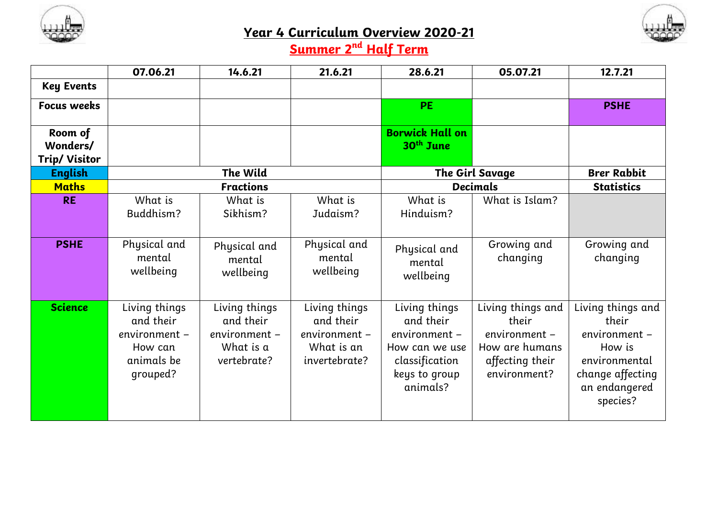



## **Year 4 Curriculum Overview 2020-21**

## **Summer 2 nd Half Term**

|                                             | 07.06.21                                                                         | 14.6.21                                                                 | 21.6.21                                                                    | 28.6.21                                                                                                      | 05.07.21                                                                                         | 12.7.21                                                                                                                 |
|---------------------------------------------|----------------------------------------------------------------------------------|-------------------------------------------------------------------------|----------------------------------------------------------------------------|--------------------------------------------------------------------------------------------------------------|--------------------------------------------------------------------------------------------------|-------------------------------------------------------------------------------------------------------------------------|
| <b>Key Events</b>                           |                                                                                  |                                                                         |                                                                            |                                                                                                              |                                                                                                  |                                                                                                                         |
| <b>Focus weeks</b>                          |                                                                                  |                                                                         |                                                                            | <b>PE</b>                                                                                                    |                                                                                                  | <b>PSHE</b>                                                                                                             |
| Room of<br>Wonders/<br><b>Trip/ Visitor</b> |                                                                                  |                                                                         |                                                                            | <b>Borwick Hall on</b><br>$30th$ June                                                                        |                                                                                                  |                                                                                                                         |
| <b>English</b>                              | The Wild                                                                         |                                                                         |                                                                            | The Girl Savage                                                                                              |                                                                                                  | <b>Brer Rabbit</b>                                                                                                      |
| <b>Maths</b>                                | <b>Fractions</b>                                                                 |                                                                         |                                                                            | <b>Decimals</b>                                                                                              |                                                                                                  | <b>Statistics</b>                                                                                                       |
| <b>RE</b>                                   | What is                                                                          | What is                                                                 | What is                                                                    | What is                                                                                                      | What is Islam?                                                                                   |                                                                                                                         |
|                                             | Buddhism?                                                                        | Sikhism?                                                                | Judaism?                                                                   | Hinduism?                                                                                                    |                                                                                                  |                                                                                                                         |
|                                             |                                                                                  |                                                                         |                                                                            |                                                                                                              |                                                                                                  |                                                                                                                         |
| <b>PSHE</b>                                 | Physical and<br>mental<br>wellbeing                                              | Physical and<br>mental<br>wellbeing                                     | Physical and<br>mental<br>wellbeing                                        | Physical and<br>mental<br>wellbeing                                                                          | Growing and<br>changing                                                                          | Growing and<br>changing                                                                                                 |
| <b>Science</b>                              | Living things<br>and their<br>environment –<br>How can<br>animals be<br>grouped? | Living things<br>and their<br>environment -<br>What is a<br>vertebrate? | Living things<br>and their<br>environment -<br>What is an<br>invertebrate? | Living things<br>and their<br>environment -<br>How can we use<br>classification<br>keys to group<br>animals? | Living things and<br>their<br>environment -<br>How are humans<br>affecting their<br>environment? | Living things and<br>their<br>environment -<br>How is<br>environmental<br>change affecting<br>an endangered<br>species? |